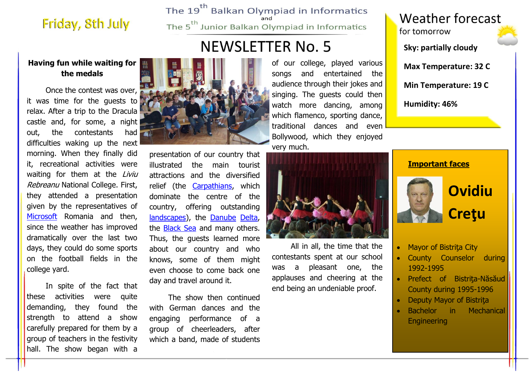## Friday, 8th July

The 19<sup>th</sup> Balkan Olympiad in Informatics The 5<sup>th</sup> Junior Balkan Olympiad in Informatics

# **NEWSLETTER No. 5**

### **Having fun while waiting for the medals**

 Once the contest was over, it was time for the guests to relax. After a trip to the Dracula castle and, for some, a night out, the contestants had difficulties waking up the next morning. When they finally did it, recreational activities were waiting for them at the Liviu Rebreanu National College. First, they attended a presentation given by the representatives of [Microsoft](http://www.microsoft.com/education/ww/leadership/partnerships/pil/Pages/index.aspx) Romania and then, since the weather has improved dramatically over the last two days, they could do some sports on the football fields in the college yard.

 In spite of the fact that these activities were quite demanding, they found the strength to attend a show carefully prepared for them by a group of teachers in the festivity hall. The show began with a



presentation of our country that illustrated the main tourist attractions and the diversified relief (the [Carpathians,](http://www.sopsr.sk/karpaty/img/karpathia.jpg) which dominate the centre of the country, offering outstanding [landscapes\)](http://farm3.static.flickr.com/2428/3883970188_dcf00f9d9d.jpg), the [Danube](http://www.danube-research.com/map.jpg) [Delta,](http://see-romania.com/wp-content/gallery/delta/danube-delta-1.jpg) the [Black Sea](http://www.planetware.com/i/photo/black-sea-coast-tr206.jpg) and many others. Thus, the guests learned more about our country and who knows, some of them might even choose to come back one day and travel around it.

 The show then continued with German dances and the engaging performance of a group of cheerleaders, after which a band, made of students

of our college, played various songs and entertained the audience through their jokes and singing. The guests could then watch more dancing, among which flamenco, sporting dance, traditional dances and even Bollywood, which they enjoyed very much.



 All in all, the time that the contestants spent at our school was a pleasant one, the applauses and cheering at the end being an undeniable proof.



#### **Important faces**



- Mayor of Bistrita City
- County Counselor during 1992-1995
- Prefect of Bistrita-Năsăud County during 1995-1996
- Deputy Mayor of Bistriţa
- Bachelor in Mechanical **Engineering**